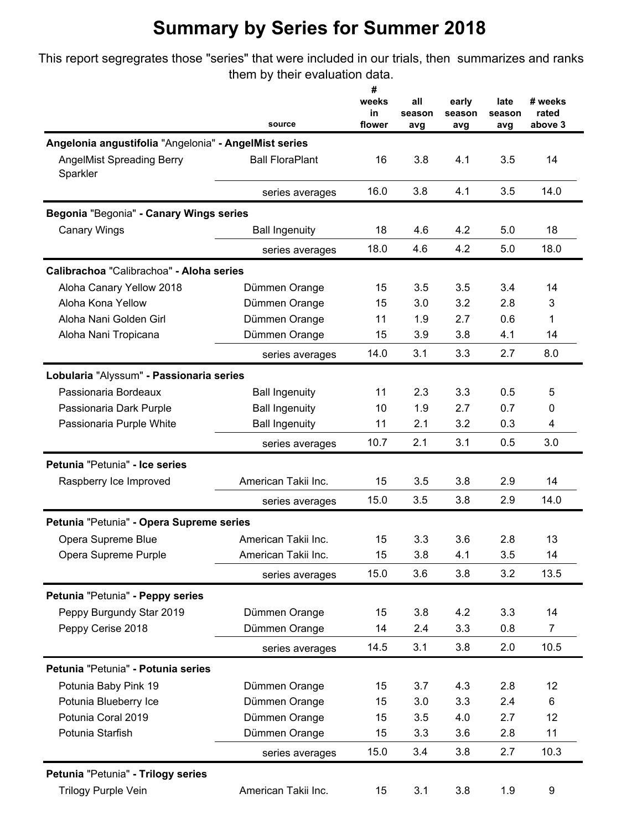## **Summary by Series for Summer 2018**

This report segregrates those "series" that were included in our trials, then summarizes and ranks them by their evaluation data.

|                                                       | source                 | #<br>weeks<br>in<br>flower | all<br>season<br>avg | early<br>season<br>avg | late<br>season<br>avg | # weeks<br>rated<br>above 3 |
|-------------------------------------------------------|------------------------|----------------------------|----------------------|------------------------|-----------------------|-----------------------------|
| Angelonia angustifolia "Angelonia" - AngelMist series |                        |                            |                      |                        |                       |                             |
| <b>AngelMist Spreading Berry</b><br>Sparkler          | <b>Ball FloraPlant</b> | 16                         | 3.8                  | 4.1                    | 3.5                   | 14                          |
|                                                       | series averages        | 16.0                       | 3.8                  | 4.1                    | 3.5                   | 14.0                        |
| Begonia "Begonia" - Canary Wings series               |                        |                            |                      |                        |                       |                             |
| <b>Canary Wings</b>                                   | <b>Ball Ingenuity</b>  | 18                         | 4.6                  | 4.2                    | 5.0                   | 18                          |
|                                                       | series averages        | 18.0                       | 4.6                  | 4.2                    | 5.0                   | 18.0                        |
| Calibrachoa "Calibrachoa" - Aloha series              |                        |                            |                      |                        |                       |                             |
| Aloha Canary Yellow 2018                              | Dümmen Orange          | 15                         | 3.5                  | 3.5                    | 3.4                   | 14                          |
| Aloha Kona Yellow                                     | Dümmen Orange          | 15                         | 3.0                  | 3.2                    | 2.8                   | 3                           |
| Aloha Nani Golden Girl                                | Dümmen Orange          | 11                         | 1.9                  | 2.7                    | 0.6                   | 1                           |
| Aloha Nani Tropicana                                  | Dümmen Orange          | 15                         | 3.9                  | 3.8                    | 4.1                   | 14                          |
|                                                       | series averages        | 14.0                       | 3.1                  | 3.3                    | 2.7                   | 8.0                         |
| Lobularia "Alyssum" - Passionaria series              |                        |                            |                      |                        |                       |                             |
| Passionaria Bordeaux                                  | <b>Ball Ingenuity</b>  | 11                         | 2.3                  | 3.3                    | 0.5                   | 5                           |
| Passionaria Dark Purple                               | <b>Ball Ingenuity</b>  | 10                         | 1.9                  | 2.7                    | 0.7                   | 0                           |
| Passionaria Purple White                              | <b>Ball Ingenuity</b>  | 11                         | 2.1                  | 3.2                    | 0.3                   | 4                           |
|                                                       | series averages        | 10.7                       | 2.1                  | 3.1                    | 0.5                   | 3.0                         |
| Petunia "Petunia" - Ice series                        |                        |                            |                      |                        |                       |                             |
| Raspberry Ice Improved                                | American Takii Inc.    | 15                         | 3.5                  | 3.8                    | 2.9                   | 14                          |
|                                                       | series averages        | 15.0                       | 3.5                  | 3.8                    | 2.9                   | 14.0                        |
| Petunia "Petunia" - Opera Supreme series              |                        |                            |                      |                        |                       |                             |
| Opera Supreme Blue                                    | American Takii Inc.    | 15                         | 3.3                  | 3.6                    | 2.8                   | 13                          |
| Opera Supreme Purple                                  | American Takii Inc.    | 15                         | 3.8                  | 4.1                    | 3.5                   | 14                          |
|                                                       | series averages        | 15.0                       | 3.6                  | 3.8                    | 3.2                   | 13.5                        |
| Petunia "Petunia" - Peppy series                      |                        |                            |                      |                        |                       |                             |
| Peppy Burgundy Star 2019                              | Dümmen Orange          | 15                         | 3.8                  | 4.2                    | 3.3                   | 14                          |
| Peppy Cerise 2018                                     | Dümmen Orange          | 14                         | 2.4                  | 3.3                    | 0.8                   | $\overline{7}$              |
|                                                       | series averages        | 14.5                       | 3.1                  | 3.8                    | 2.0                   | 10.5                        |
| Petunia "Petunia" - Potunia series                    |                        |                            |                      |                        |                       |                             |
| Potunia Baby Pink 19                                  | Dümmen Orange          | 15                         | 3.7                  | 4.3                    | 2.8                   | 12                          |
| Potunia Blueberry Ice                                 | Dümmen Orange          | 15                         | 3.0                  | 3.3                    | 2.4                   | 6                           |
| Potunia Coral 2019                                    | Dümmen Orange          | 15                         | 3.5                  | 4.0                    | 2.7                   | 12                          |
| Potunia Starfish                                      | Dümmen Orange          | 15                         | 3.3                  | 3.6                    | 2.8                   | 11                          |
|                                                       | series averages        | 15.0                       | 3.4                  | 3.8                    | 2.7                   | 10.3                        |
| Petunia "Petunia" - Trilogy series                    |                        |                            |                      |                        |                       |                             |
| Trilogy Purple Vein                                   | American Takii Inc.    | 15                         | 3.1                  | 3.8                    | 1.9                   | $\boldsymbol{9}$            |